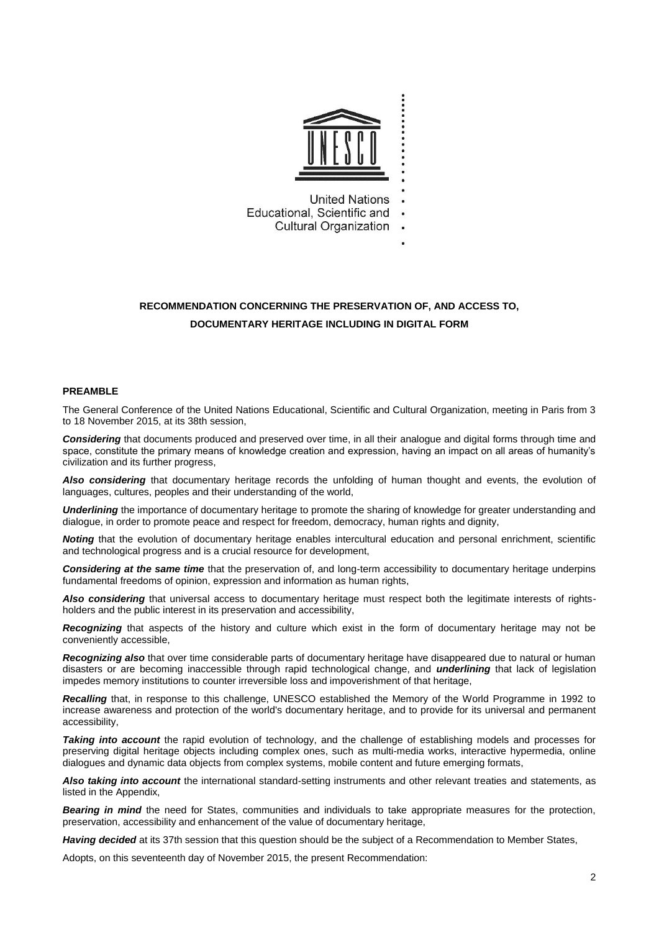

# **RECOMMENDATION CONCERNING THE PRESERVATION OF, AND ACCESS TO, DOCUMENTARY HERITAGE INCLUDING IN DIGITAL FORM**

#### **PREAMBLE**

The General Conference of the United Nations Educational, Scientific and Cultural Organization, meeting in Paris from 3 to 18 November 2015, at its 38th session,

**Considering** that documents produced and preserved over time, in all their analogue and digital forms through time and space, constitute the primary means of knowledge creation and expression, having an impact on all areas of humanity's civilization and its further progress,

**Also considering** that documentary heritage records the unfolding of human thought and events, the evolution of languages, cultures, peoples and their understanding of the world,

**Underlining** the importance of documentary heritage to promote the sharing of knowledge for greater understanding and dialogue, in order to promote peace and respect for freedom, democracy, human rights and dignity,

**Noting** that the evolution of documentary heritage enables intercultural education and personal enrichment, scientific and technological progress and is a crucial resource for development,

**Considering at the same time** that the preservation of, and long-term accessibility to documentary heritage underpins fundamental freedoms of opinion, expression and information as human rights,

**Also considering** that universal access to documentary heritage must respect both the legitimate interests of rightsholders and the public interest in its preservation and accessibility,

**Recognizing** that aspects of the history and culture which exist in the form of documentary heritage may not be conveniently accessible,

**Recognizing also** that over time considerable parts of documentary heritage have disappeared due to natural or human disasters or are becoming inaccessible through rapid technological change, and **underlining** that lack of legislation impedes memory institutions to counter irreversible loss and impoverishment of that heritage,

**Recalling** that, in response to this challenge, UNESCO established the Memory of the World Programme in 1992 to increase awareness and protection of the world's documentary heritage, and to provide for its universal and permanent accessibility,

**Taking into account** the rapid evolution of technology, and the challenge of establishing models and processes for preserving digital heritage objects including complex ones, such as multi-media works, interactive hypermedia, online dialogues and dynamic data objects from complex systems, mobile content and future emerging formats,

Also taking into account the international standard-setting instruments and other relevant treaties and statements, as listed in the Appendix,

**Bearing in mind** the need for States, communities and individuals to take appropriate measures for the protection, preservation, accessibility and enhancement of the value of documentary heritage,

**Having decided** at its 37th session that this question should be the subject of a Recommendation to Member States,

Adopts, on this seventeenth day of November 2015, the present Recommendation: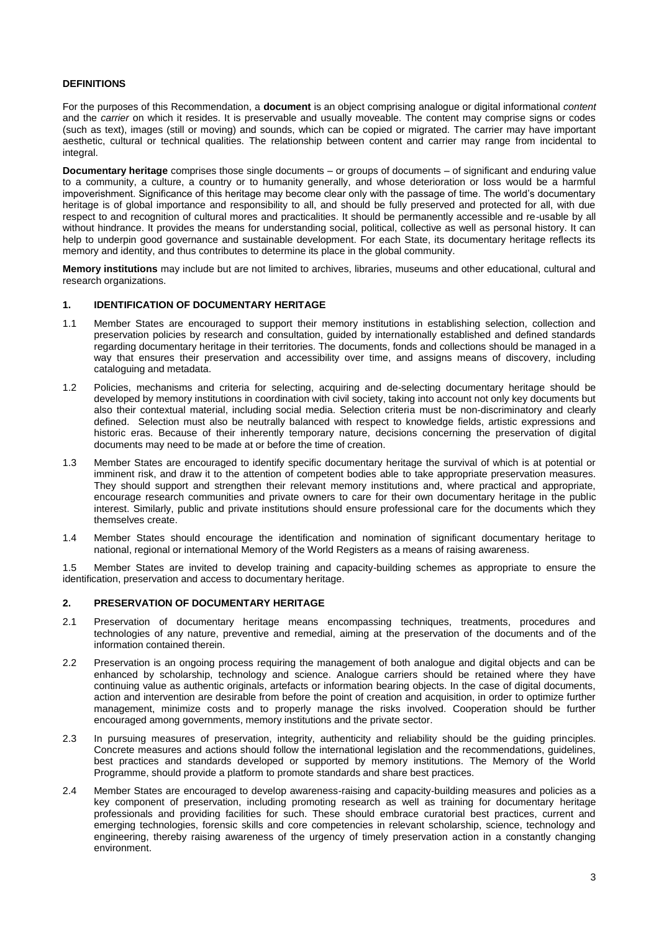### **DEFINITIONS**

For the purposes of this Recommendation, a **document** is an object comprising analogue or digital informational content and the carrier on which it resides. It is preservable and usually moveable. The content may comprise signs or codes (such as text), images (still or moving) and sounds, which can be copied or migrated. The carrier may have important aesthetic, cultural or technical qualities. The relationship between content and carrier may range from incidental to integral.

**Documentary heritage** comprises those single documents – or groups of documents – of significant and enduring value to a community, a culture, a country or to humanity generally, and whose deterioration or loss would be a harmful impoverishment. Significance of this heritage may become clear only with the passage of time. The world's documentary heritage is of global importance and responsibility to all, and should be fully preserved and protected for all, with due respect to and recognition of cultural mores and practicalities. It should be permanently accessible and re-usable by all without hindrance. It provides the means for understanding social, political, collective as well as personal history. It can help to underpin good governance and sustainable development. For each State, its documentary heritage reflects its memory and identity, and thus contributes to determine its place in the global community.

**Memory institutions** may include but are not limited to archives, libraries, museums and other educational, cultural and research organizations.

### **1. IDENTIFICATION OF DOCUMENTARY HERITAGE**

- 1.1 Member States are encouraged to support their memory institutions in establishing selection, collection and preservation policies by research and consultation, guided by internationally established and defined standards regarding documentary heritage in their territories. The documents, fonds and collections should be managed in a way that ensures their preservation and accessibility over time, and assigns means of discovery, including cataloguing and metadata.
- 1.2 Policies, mechanisms and criteria for selecting, acquiring and de-selecting documentary heritage should be developed by memory institutions in coordination with civil society, taking into account not only key documents but also their contextual material, including social media. Selection criteria must be non-discriminatory and clearly defined. Selection must also be neutrally balanced with respect to knowledge fields, artistic expressions and historic eras. Because of their inherently temporary nature, decisions concerning the preservation of digital documents may need to be made at or before the time of creation.
- 1.3 Member States are encouraged to identify specific documentary heritage the survival of which is at potential or imminent risk, and draw it to the attention of competent bodies able to take appropriate preservation measures. They should support and strengthen their relevant memory institutions and, where practical and appropriate, encourage research communities and private owners to care for their own documentary heritage in the public interest. Similarly, public and private institutions should ensure professional care for the documents which they themselves create.
- 1.4 Member States should encourage the identification and nomination of significant documentary heritage to national, regional or international Memory of the World Registers as a means of raising awareness.

1.5 Member States are invited to develop training and capacity-building schemes as appropriate to ensure the identification, preservation and access to documentary heritage.

#### **2. PRESERVATION OF DOCUMENTARY HERITAGE**

- 2.1 Preservation of documentary heritage means encompassing techniques, treatments, procedures and technologies of any nature, preventive and remedial, aiming at the preservation of the documents and of the information contained therein.
- 2.2 Preservation is an ongoing process requiring the management of both analogue and digital objects and can be enhanced by scholarship, technology and science. Analogue carriers should be retained where they have continuing value as authentic originals, artefacts or information bearing objects. In the case of digital documents, action and intervention are desirable from before the point of creation and acquisition, in order to optimize further management, minimize costs and to properly manage the risks involved. Cooperation should be further encouraged among governments, memory institutions and the private sector.
- 2.3 In pursuing measures of preservation, integrity, authenticity and reliability should be the guiding principles. Concrete measures and actions should follow the international legislation and the recommendations, guidelines, best practices and standards developed or supported by memory institutions. The Memory of the World Programme, should provide a platform to promote standards and share best practices.
- 2.4 Member States are encouraged to develop awareness-raising and capacity-building measures and policies as a key component of preservation, including promoting research as well as training for documentary heritage professionals and providing facilities for such. These should embrace curatorial best practices, current and emerging technologies, forensic skills and core competencies in relevant scholarship, science, technology and engineering, thereby raising awareness of the urgency of timely preservation action in a constantly changing environment.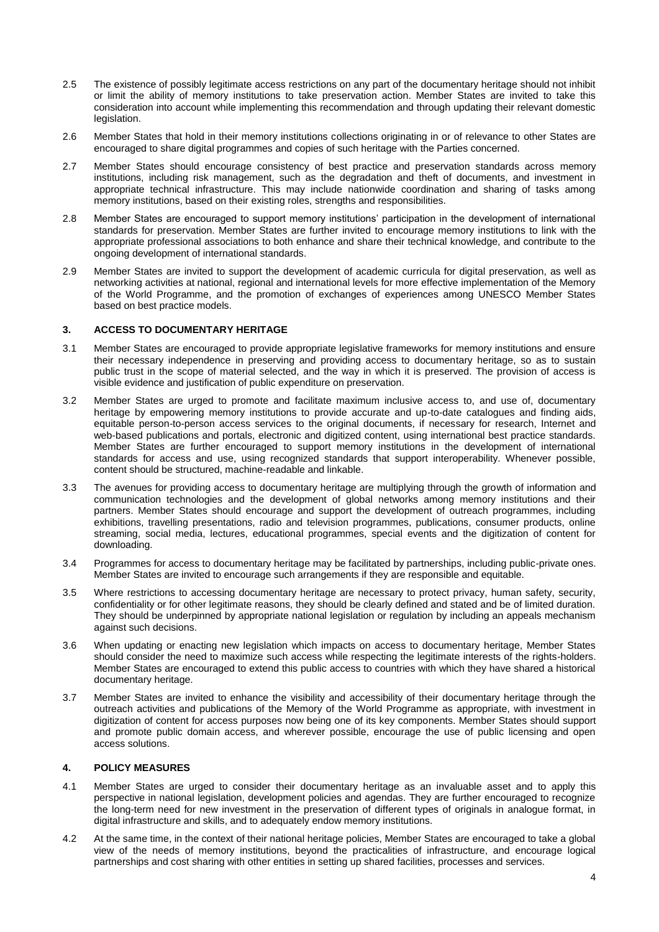- 2.5 The existence of possibly legitimate access restrictions on any part of the documentary heritage should not inhibit or limit the ability of memory institutions to take preservation action. Member States are invited to take this consideration into account while implementing this recommendation and through updating their relevant domestic legislation.
- 2.6 Member States that hold in their memory institutions collections originating in or of relevance to other States are encouraged to share digital programmes and copies of such heritage with the Parties concerned.
- 2.7 Member States should encourage consistency of best practice and preservation standards across memory institutions, including risk management, such as the degradation and theft of documents, and investment in appropriate technical infrastructure. This may include nationwide coordination and sharing of tasks among memory institutions, based on their existing roles, strengths and responsibilities.
- 2.8 Member States are encouraged to support memory institutions' participation in the development of international standards for preservation. Member States are further invited to encourage memory institutions to link with the appropriate professional associations to both enhance and share their technical knowledge, and contribute to the ongoing development of international standards.
- 2.9 Member States are invited to support the development of academic curricula for digital preservation, as well as networking activities at national, regional and international levels for more effective implementation of the Memory of the World Programme, and the promotion of exchanges of experiences among UNESCO Member States based on best practice models.

### **3. ACCESS TO DOCUMENTARY HERITAGE**

- 3.1 Member States are encouraged to provide appropriate legislative frameworks for memory institutions and ensure their necessary independence in preserving and providing access to documentary heritage, so as to sustain public trust in the scope of material selected, and the way in which it is preserved. The provision of access is visible evidence and justification of public expenditure on preservation.
- 3.2 Member States are urged to promote and facilitate maximum inclusive access to, and use of, documentary heritage by empowering memory institutions to provide accurate and up-to-date catalogues and finding aids, equitable person-to-person access services to the original documents, if necessary for research, Internet and web-based publications and portals, electronic and digitized content, using international best practice standards. Member States are further encouraged to support memory institutions in the development of international standards for access and use, using recognized standards that support interoperability. Whenever possible, content should be structured, machine-readable and linkable.
- 3.3 The avenues for providing access to documentary heritage are multiplying through the growth of information and communication technologies and the development of global networks among memory institutions and their partners. Member States should encourage and support the development of outreach programmes, including exhibitions, travelling presentations, radio and television programmes, publications, consumer products, online streaming, social media, lectures, educational programmes, special events and the digitization of content for downloading.
- 3.4 Programmes for access to documentary heritage may be facilitated by partnerships, including public-private ones. Member States are invited to encourage such arrangements if they are responsible and equitable.
- 3.5 Where restrictions to accessing documentary heritage are necessary to protect privacy, human safety, security, confidentiality or for other legitimate reasons, they should be clearly defined and stated and be of limited duration. They should be underpinned by appropriate national legislation or regulation by including an appeals mechanism against such decisions.
- 3.6 When updating or enacting new legislation which impacts on access to documentary heritage, Member States should consider the need to maximize such access while respecting the legitimate interests of the rights-holders. Member States are encouraged to extend this public access to countries with which they have shared a historical documentary heritage.
- 3.7 Member States are invited to enhance the visibility and accessibility of their documentary heritage through the outreach activities and publications of the Memory of the World Programme as appropriate, with investment in digitization of content for access purposes now being one of its key components. Member States should support and promote public domain access, and wherever possible, encourage the use of public licensing and open access solutions.

# **4. POLICY MEASURES**

- 4.1 Member States are urged to consider their documentary heritage as an invaluable asset and to apply this perspective in national legislation, development policies and agendas. They are further encouraged to recognize the long-term need for new investment in the preservation of different types of originals in analogue format, in digital infrastructure and skills, and to adequately endow memory institutions.
- 4.2 At the same time, in the context of their national heritage policies, Member States are encouraged to take a global view of the needs of memory institutions, beyond the practicalities of infrastructure, and encourage logical partnerships and cost sharing with other entities in setting up shared facilities, processes and services.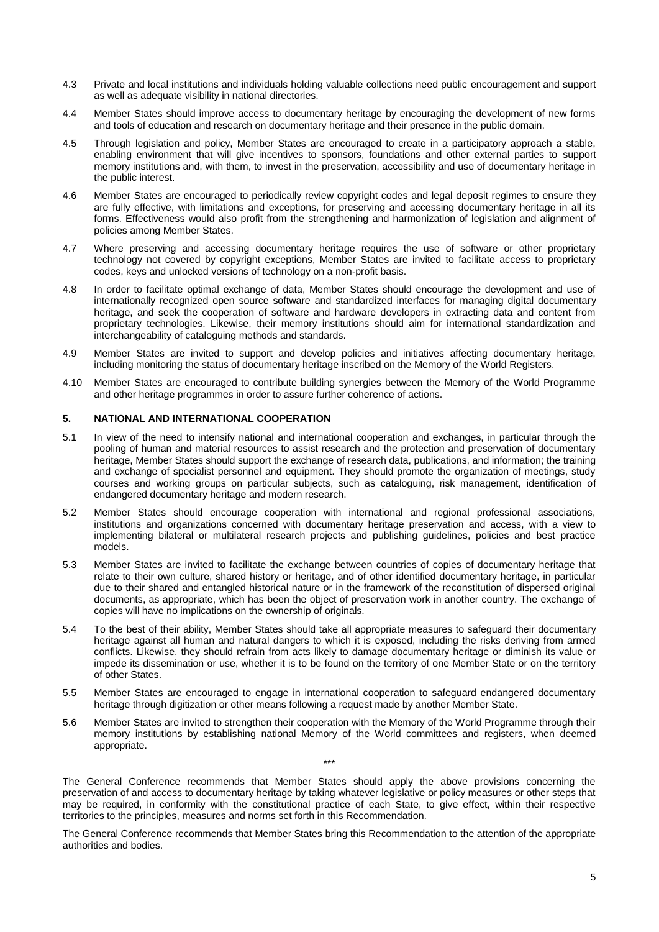- 4.3 Private and local institutions and individuals holding valuable collections need public encouragement and support as well as adequate visibility in national directories.
- 4.4 Member States should improve access to documentary heritage by encouraging the development of new forms and tools of education and research on documentary heritage and their presence in the public domain.
- 4.5 Through legislation and policy, Member States are encouraged to create in a participatory approach a stable, enabling environment that will give incentives to sponsors, foundations and other external parties to support memory institutions and, with them, to invest in the preservation, accessibility and use of documentary heritage in the public interest.
- 4.6 Member States are encouraged to periodically review copyright codes and legal deposit regimes to ensure they are fully effective, with limitations and exceptions, for preserving and accessing documentary heritage in all its forms. Effectiveness would also profit from the strengthening and harmonization of legislation and alignment of policies among Member States.
- 4.7 Where preserving and accessing documentary heritage requires the use of software or other proprietary technology not covered by copyright exceptions, Member States are invited to facilitate access to proprietary codes, keys and unlocked versions of technology on a non-profit basis.
- 4.8 In order to facilitate optimal exchange of data, Member States should encourage the development and use of internationally recognized open source software and standardized interfaces for managing digital documentary heritage, and seek the cooperation of software and hardware developers in extracting data and content from proprietary technologies. Likewise, their memory institutions should aim for international standardization and interchangeability of cataloguing methods and standards.
- 4.9 Member States are invited to support and develop policies and initiatives affecting documentary heritage, including monitoring the status of documentary heritage inscribed on the Memory of the World Registers.
- 4.10 Member States are encouraged to contribute building synergies between the Memory of the World Programme and other heritage programmes in order to assure further coherence of actions.

#### **5. NATIONAL AND INTERNATIONAL COOPERATION**

- 5.1 In view of the need to intensify national and international cooperation and exchanges, in particular through the pooling of human and material resources to assist research and the protection and preservation of documentary heritage, Member States should support the exchange of research data, publications, and information; the training and exchange of specialist personnel and equipment. They should promote the organization of meetings, study courses and working groups on particular subjects, such as cataloguing, risk management, identification of endangered documentary heritage and modern research.
- 5.2 Member States should encourage cooperation with international and regional professional associations, institutions and organizations concerned with documentary heritage preservation and access, with a view to implementing bilateral or multilateral research projects and publishing guidelines, policies and best practice models.
- 5.3 Member States are invited to facilitate the exchange between countries of copies of documentary heritage that relate to their own culture, shared history or heritage, and of other identified documentary heritage, in particular due to their shared and entangled historical nature or in the framework of the reconstitution of dispersed original documents, as appropriate, which has been the object of preservation work in another country. The exchange of copies will have no implications on the ownership of originals.
- 5.4 To the best of their ability, Member States should take all appropriate measures to safeguard their documentary heritage against all human and natural dangers to which it is exposed, including the risks deriving from armed conflicts. Likewise, they should refrain from acts likely to damage documentary heritage or diminish its value or impede its dissemination or use, whether it is to be found on the territory of one Member State or on the territory of other States.
- 5.5 Member States are encouraged to engage in international cooperation to safeguard endangered documentary heritage through digitization or other means following a request made by another Member State.
- 5.6 Member States are invited to strengthen their cooperation with the Memory of the World Programme through their memory institutions by establishing national Memory of the World committees and registers, when deemed appropriate.

\*\*\*

The General Conference recommends that Member States should apply the above provisions concerning the preservation of and access to documentary heritage by taking whatever legislative or policy measures or other steps that may be required, in conformity with the constitutional practice of each State, to give effect, within their respective territories to the principles, measures and norms set forth in this Recommendation.

The General Conference recommends that Member States bring this Recommendation to the attention of the appropriate authorities and bodies.